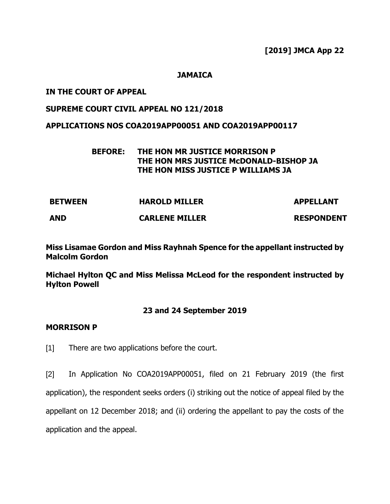**[2019] JMCA App 22**

#### **JAMAICA**

#### **IN THE COURT OF APPEAL**

# **SUPREME COURT CIVIL APPEAL NO 121/2018**

#### **APPLICATIONS NOS COA2019APP00051 AND COA2019APP00117**

## **BEFORE: THE HON MR JUSTICE MORRISON P THE HON MRS JUSTICE McDONALD-BISHOP JA THE HON MISS JUSTICE P WILLIAMS JA**

| <b>BETWEEN</b> | <b>HAROLD MILLER</b>  | <b>APPELLANT</b>  |
|----------------|-----------------------|-------------------|
| <b>AND</b>     | <b>CARLENE MILLER</b> | <b>RESPONDENT</b> |

## **Miss Lisamae Gordon and Miss Rayhnah Spence for the appellant instructed by Malcolm Gordon**

**Michael Hylton QC and Miss Melissa McLeod for the respondent instructed by Hylton Powell**

## **23 and 24 September 2019**

#### **MORRISON P**

[1] There are two applications before the court.

[2] In Application No COA2019APP00051, filed on 21 February 2019 (the first application), the respondent seeks orders (i) striking out the notice of appeal filed by the appellant on 12 December 2018; and (ii) ordering the appellant to pay the costs of the application and the appeal.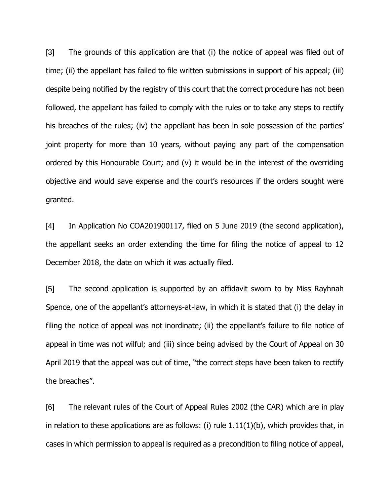[3] The grounds of this application are that (i) the notice of appeal was filed out of time; (ii) the appellant has failed to file written submissions in support of his appeal; (iii) despite being notified by the registry of this court that the correct procedure has not been followed, the appellant has failed to comply with the rules or to take any steps to rectify his breaches of the rules; (iv) the appellant has been in sole possession of the parties' joint property for more than 10 years, without paying any part of the compensation ordered by this Honourable Court; and (v) it would be in the interest of the overriding objective and would save expense and the court's resources if the orders sought were granted.

[4] In Application No COA201900117, filed on 5 June 2019 (the second application), the appellant seeks an order extending the time for filing the notice of appeal to 12 December 2018, the date on which it was actually filed.

[5] The second application is supported by an affidavit sworn to by Miss Rayhnah Spence, one of the appellant's attorneys-at-law, in which it is stated that (i) the delay in filing the notice of appeal was not inordinate; (ii) the appellant's failure to file notice of appeal in time was not wilful; and (iii) since being advised by the Court of Appeal on 30 April 2019 that the appeal was out of time, "the correct steps have been taken to rectify the breaches".

[6] The relevant rules of the Court of Appeal Rules 2002 (the CAR) which are in play in relation to these applications are as follows: (i) rule  $1.11(1)(b)$ , which provides that, in cases in which permission to appeal is required as a precondition to filing notice of appeal,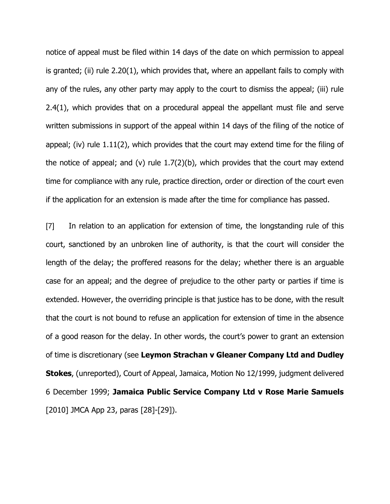notice of appeal must be filed within 14 days of the date on which permission to appeal is granted; (ii) rule 2.20(1), which provides that, where an appellant fails to comply with any of the rules, any other party may apply to the court to dismiss the appeal; (iii) rule 2.4(1), which provides that on a procedural appeal the appellant must file and serve written submissions in support of the appeal within 14 days of the filing of the notice of appeal; (iv) rule 1.11(2), which provides that the court may extend time for the filing of the notice of appeal; and (v) rule  $1.7(2)(b)$ , which provides that the court may extend time for compliance with any rule, practice direction, order or direction of the court even if the application for an extension is made after the time for compliance has passed.

[7] In relation to an application for extension of time, the longstanding rule of this court, sanctioned by an unbroken line of authority, is that the court will consider the length of the delay; the proffered reasons for the delay; whether there is an arguable case for an appeal; and the degree of prejudice to the other party or parties if time is extended. However, the overriding principle is that justice has to be done, with the result that the court is not bound to refuse an application for extension of time in the absence of a good reason for the delay. In other words, the court's power to grant an extension of time is discretionary (see **Leymon Strachan v Gleaner Company Ltd and Dudley Stokes**, (unreported), Court of Appeal, Jamaica, Motion No 12/1999, judgment delivered 6 December 1999; **Jamaica Public Service Company Ltd v Rose Marie Samuels** [2010] JMCA App 23, paras [28]-[29]).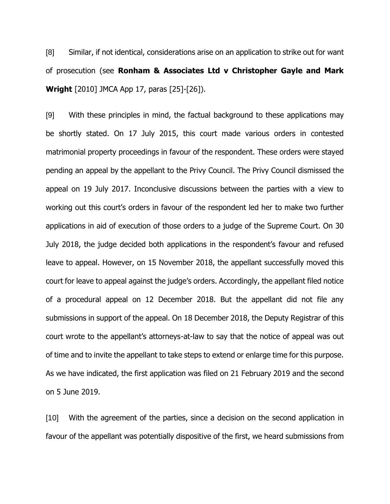[8] Similar, if not identical, considerations arise on an application to strike out for want of prosecution (see **Ronham & Associates Ltd v Christopher Gayle and Mark Wright** [2010] JMCA App 17, paras [25]-[26]).

[9] With these principles in mind, the factual background to these applications may be shortly stated. On 17 July 2015, this court made various orders in contested matrimonial property proceedings in favour of the respondent. These orders were stayed pending an appeal by the appellant to the Privy Council. The Privy Council dismissed the appeal on 19 July 2017. Inconclusive discussions between the parties with a view to working out this court's orders in favour of the respondent led her to make two further applications in aid of execution of those orders to a judge of the Supreme Court. On 30 July 2018, the judge decided both applications in the respondent's favour and refused leave to appeal. However, on 15 November 2018, the appellant successfully moved this court for leave to appeal against the judge's orders. Accordingly, the appellant filed notice of a procedural appeal on 12 December 2018. But the appellant did not file any submissions in support of the appeal. On 18 December 2018, the Deputy Registrar of this court wrote to the appellant's attorneys-at-law to say that the notice of appeal was out of time and to invite the appellant to take steps to extend or enlarge time for this purpose. As we have indicated, the first application was filed on 21 February 2019 and the second on 5 June 2019.

[10] With the agreement of the parties, since a decision on the second application in favour of the appellant was potentially dispositive of the first, we heard submissions from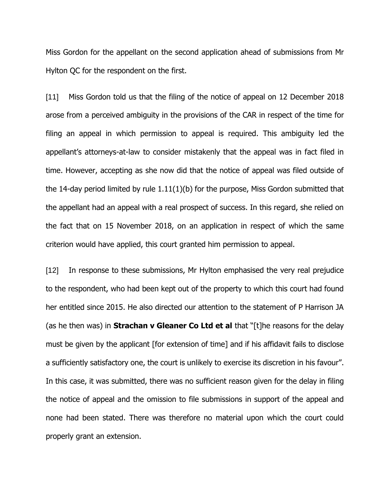Miss Gordon for the appellant on the second application ahead of submissions from Mr Hylton QC for the respondent on the first.

[11] Miss Gordon told us that the filing of the notice of appeal on 12 December 2018 arose from a perceived ambiguity in the provisions of the CAR in respect of the time for filing an appeal in which permission to appeal is required. This ambiguity led the appellant's attorneys-at-law to consider mistakenly that the appeal was in fact filed in time. However, accepting as she now did that the notice of appeal was filed outside of the 14-day period limited by rule 1.11(1)(b) for the purpose, Miss Gordon submitted that the appellant had an appeal with a real prospect of success. In this regard, she relied on the fact that on 15 November 2018, on an application in respect of which the same criterion would have applied, this court granted him permission to appeal.

[12] In response to these submissions, Mr Hylton emphasised the very real prejudice to the respondent, who had been kept out of the property to which this court had found her entitled since 2015. He also directed our attention to the statement of P Harrison JA (as he then was) in **Strachan v Gleaner Co Ltd et al** that "[t]he reasons for the delay must be given by the applicant [for extension of time] and if his affidavit fails to disclose a sufficiently satisfactory one, the court is unlikely to exercise its discretion in his favour". In this case, it was submitted, there was no sufficient reason given for the delay in filing the notice of appeal and the omission to file submissions in support of the appeal and none had been stated. There was therefore no material upon which the court could properly grant an extension.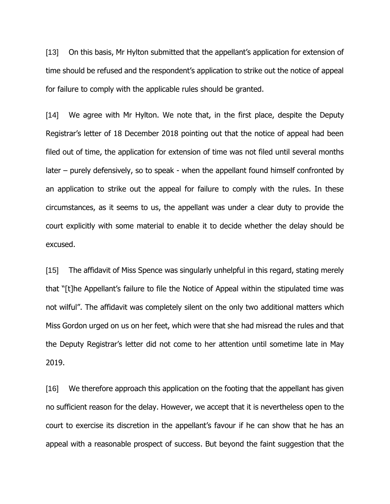[13] On this basis, Mr Hylton submitted that the appellant's application for extension of time should be refused and the respondent's application to strike out the notice of appeal for failure to comply with the applicable rules should be granted.

[14] We agree with Mr Hylton. We note that, in the first place, despite the Deputy Registrar's letter of 18 December 2018 pointing out that the notice of appeal had been filed out of time, the application for extension of time was not filed until several months later – purely defensively, so to speak - when the appellant found himself confronted by an application to strike out the appeal for failure to comply with the rules. In these circumstances, as it seems to us, the appellant was under a clear duty to provide the court explicitly with some material to enable it to decide whether the delay should be excused.

[15] The affidavit of Miss Spence was singularly unhelpful in this regard, stating merely that "[t]he Appellant's failure to file the Notice of Appeal within the stipulated time was not wilful". The affidavit was completely silent on the only two additional matters which Miss Gordon urged on us on her feet, which were that she had misread the rules and that the Deputy Registrar's letter did not come to her attention until sometime late in May 2019.

[16] We therefore approach this application on the footing that the appellant has given no sufficient reason for the delay. However, we accept that it is nevertheless open to the court to exercise its discretion in the appellant's favour if he can show that he has an appeal with a reasonable prospect of success. But beyond the faint suggestion that the